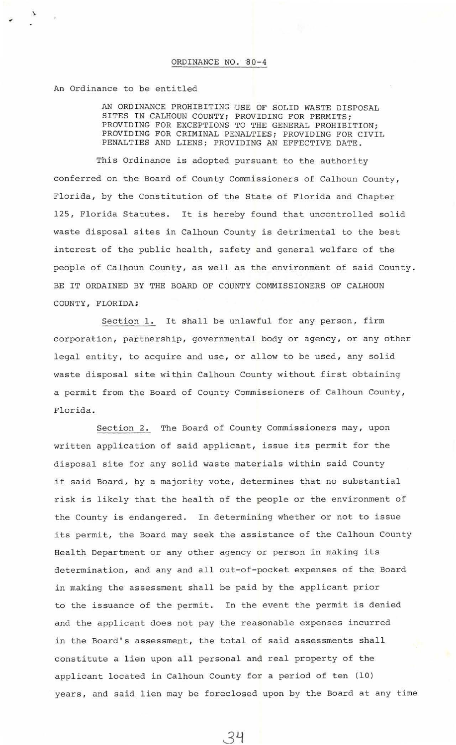An Ordinance to be entitled

AN ORDINANCE PROHIBITING USE OF SOLID WASTE DISPOSAL SITES IN CALHOUN COUNTY; PROVIDING FOR PERMITS; PROVIDING FOR EXCEPTIONS TO THE GENERAL PROHIBITION; PROVIDING FOR CRIMINAL PENALTIES; PROVIDING FOR CIVIL PENALTIES AND LIENS; PROVIDING AN EFFECTIVE DATE.

This Ordinance is adopted pursuant to the authority conferred on the Board of County Commissioners of Calhoun County, Florida, by the Constitution of the State of Florida and Chapter 125, Florida Statutes. It is hereby found that uncontrolled solid waste disposal sites in Calhoun County is detrimental to the best interest of the public health, safety and general welfare of the people of Calhoun County, as well as the environment of said County. BE IT ORDAINED BY THE BOARD OF COUNTY COMMISSIONERS OF CALHOUN COUNTY , FLORIDA;

Section 1. It shall be unlawful for any person, firm corporation, partnership, governmental body or agency, or any other legal entity, to acquire and use, or allow to be used, any solid waste disposal site within Calhoun County without first obtaining a permit from the Board of County Commissioners of Calhoun County, Florida .

Section 2. The Board of County Commissioners may, upon written application of said applicant, issue its permit for the disposal site for any solid waste materials within said County if said Board, by a majority vote, determines that no substantial risk is likely that the health of the people or the environment of the County is endangered. In determining whether or not to issue its permit, the Board may seek the assistance of the Calhoun County Health Department or any other agency or person in making its determination, and any and all out-of-pocket expenses of the Board in making the assessment shall be paid by the applicant prior to the issuance of the permit. In the event the permit is denied and the applicant does not pay the reasonable expenses incurred in the Board's assessment, the total of said assessments shall constitute a lien upon all personal and real property of the applicant located in Calhoun County for a period of ten (10) years, and said lien may be foreclosed upon by the Board at any time

34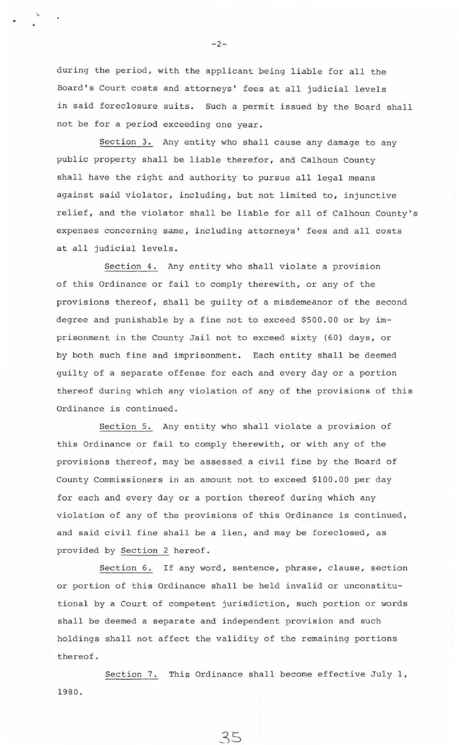during the period, with the applicant being liable for all the Board's Court costs and attorneys' fees at all judicial levels in said foreclosure suits. Such a permit issued by the Board shall not be for a period exceeding one year .

Section 3. Any entity who shall cause any damage to any public property shall be liable therefor, and Calhoun County shall have the right and authority to pursue all legal means against said violator, including, but not limited to, injunctive relief, and the violator shall be liable for all of Calhoun County's expenses concerning same, including attorneys' fees and all costs at all judicial levels.

Section 4. Any entity who shall violate a provision of this Ordinance or fail to comply therewith, or any of the provisions thereof, shall be guilty of a misdemeanor of the second degree and punishable by a fine not to exceed \$500.00 or by imprisonment in the County Jail not to exceed sixty (60) days, or by both such fine and imprisonment. Each entity shall be deemed guilty of a separate offense for each and every day or a portion thereof during which any violation of any of the provisions of this Ordinance is continued .

Section 5. Any entity who shall violate a provision of this Ordinance or fail to comply therewith, or with any of the provisions thereof, may be assessed a civil fine by the Board of County Commissioners in an amount not to exceed \$100 . 00 per day for each and every day or a portion thereof during which any violation of any of the provisions of this Ordinance is continued, and said civil fine shall be a lien, and may be foreclosed, as provided by Section 2 hereof .

Section 6. If any word, sentence, phrase, clause, section or portion of this Ordinance shall be held invalid or unconstitutional by a Court of competent jurisdiction, such portion or words shall be deemed a separate and independent provision and such holdings shall not affect the validity of the remaining portions thereof.

Section 7. This Ordinance shall become effective July 1, 1980.

3S

 $-2-$